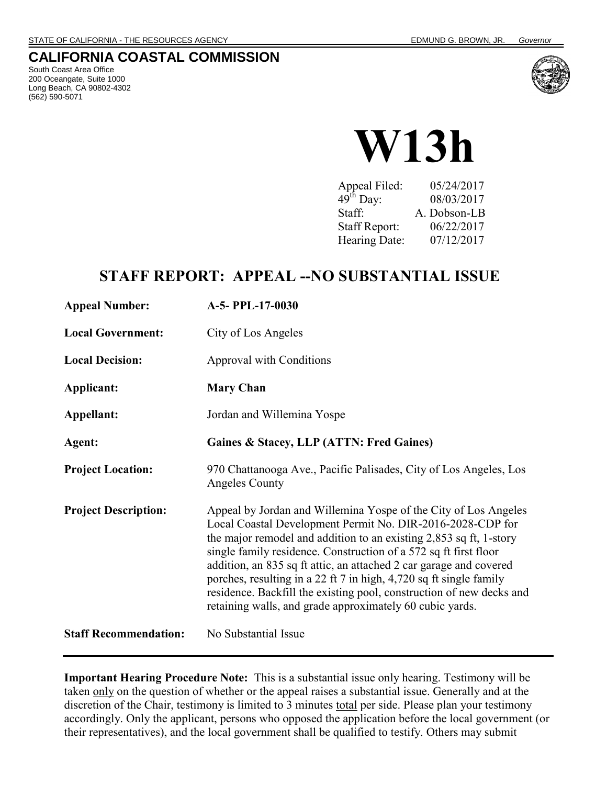### **CALIFORNIA COASTAL COMMISSION**

South Coast Area Office 200 Oceangate, Suite 1000 Long Beach, CA 90802-4302 (562) 590-5071



**W13h**

Appeal Filed: 05/24/2017  $49^{th}$  Day: 08/03/2017 Staff: A. Dobson-LB Staff Report: 06/22/2017 Hearing Date: 07/12/2017

# **STAFF REPORT: APPEAL --NO SUBSTANTIAL ISSUE**

| <b>Appeal Number:</b>        | A-5- PPL-17-0030                                                                                                                                                                                                                                                                                                                                                                                                                                                                                                                                        |
|------------------------------|---------------------------------------------------------------------------------------------------------------------------------------------------------------------------------------------------------------------------------------------------------------------------------------------------------------------------------------------------------------------------------------------------------------------------------------------------------------------------------------------------------------------------------------------------------|
| <b>Local Government:</b>     | City of Los Angeles                                                                                                                                                                                                                                                                                                                                                                                                                                                                                                                                     |
| <b>Local Decision:</b>       | Approval with Conditions                                                                                                                                                                                                                                                                                                                                                                                                                                                                                                                                |
| Applicant:                   | <b>Mary Chan</b>                                                                                                                                                                                                                                                                                                                                                                                                                                                                                                                                        |
| Appellant:                   | Jordan and Willemina Yospe                                                                                                                                                                                                                                                                                                                                                                                                                                                                                                                              |
| Agent:                       | Gaines & Stacey, LLP (ATTN: Fred Gaines)                                                                                                                                                                                                                                                                                                                                                                                                                                                                                                                |
| <b>Project Location:</b>     | 970 Chattanooga Ave., Pacific Palisades, City of Los Angeles, Los<br><b>Angeles County</b>                                                                                                                                                                                                                                                                                                                                                                                                                                                              |
| <b>Project Description:</b>  | Appeal by Jordan and Willemina Yospe of the City of Los Angeles<br>Local Coastal Development Permit No. DIR-2016-2028-CDP for<br>the major remodel and addition to an existing 2,853 sq ft, 1-story<br>single family residence. Construction of a 572 sq ft first floor<br>addition, an 835 sq ft attic, an attached 2 car garage and covered<br>porches, resulting in a 22 ft 7 in high, 4,720 sq ft single family<br>residence. Backfill the existing pool, construction of new decks and<br>retaining walls, and grade approximately 60 cubic yards. |
| <b>Staff Recommendation:</b> | No Substantial Issue                                                                                                                                                                                                                                                                                                                                                                                                                                                                                                                                    |

**Important Hearing Procedure Note:** This is a substantial issue only hearing. Testimony will be taken only on the question of whether or the appeal raises a substantial issue. Generally and at the discretion of the Chair, testimony is limited to 3 minutes total per side. Please plan your testimony accordingly. Only the applicant, persons who opposed the application before the local government (or their representatives), and the local government shall be qualified to testify. Others may submit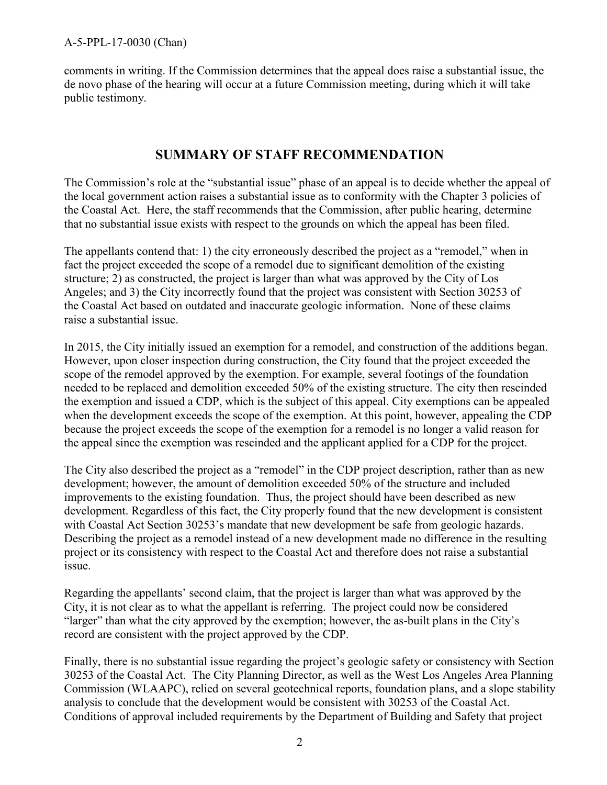comments in writing. If the Commission determines that the appeal does raise a substantial issue, the de novo phase of the hearing will occur at a future Commission meeting, during which it will take public testimony.

### **SUMMARY OF STAFF RECOMMENDATION**

The Commission's role at the "substantial issue" phase of an appeal is to decide whether the appeal of the local government action raises a substantial issue as to conformity with the Chapter 3 policies of the Coastal Act. Here, the staff recommends that the Commission, after public hearing, determine that no substantial issue exists with respect to the grounds on which the appeal has been filed.

The appellants contend that: 1) the city erroneously described the project as a "remodel," when in fact the project exceeded the scope of a remodel due to significant demolition of the existing structure; 2) as constructed, the project is larger than what was approved by the City of Los Angeles; and 3) the City incorrectly found that the project was consistent with Section 30253 of the Coastal Act based on outdated and inaccurate geologic information. None of these claims raise a substantial issue.

In 2015, the City initially issued an exemption for a remodel, and construction of the additions began. However, upon closer inspection during construction, the City found that the project exceeded the scope of the remodel approved by the exemption. For example, several footings of the foundation needed to be replaced and demolition exceeded 50% of the existing structure. The city then rescinded the exemption and issued a CDP, which is the subject of this appeal. City exemptions can be appealed when the development exceeds the scope of the exemption. At this point, however, appealing the CDP because the project exceeds the scope of the exemption for a remodel is no longer a valid reason for the appeal since the exemption was rescinded and the applicant applied for a CDP for the project.

The City also described the project as a "remodel" in the CDP project description, rather than as new development; however, the amount of demolition exceeded 50% of the structure and included improvements to the existing foundation. Thus, the project should have been described as new development. Regardless of this fact, the City properly found that the new development is consistent with Coastal Act Section 30253's mandate that new development be safe from geologic hazards. Describing the project as a remodel instead of a new development made no difference in the resulting project or its consistency with respect to the Coastal Act and therefore does not raise a substantial issue.

Regarding the appellants' second claim, that the project is larger than what was approved by the City, it is not clear as to what the appellant is referring. The project could now be considered "larger" than what the city approved by the exemption; however, the as-built plans in the City's record are consistent with the project approved by the CDP.

Finally, there is no substantial issue regarding the project's geologic safety or consistency with Section 30253 of the Coastal Act. The City Planning Director, as well as the West Los Angeles Area Planning Commission (WLAAPC), relied on several geotechnical reports, foundation plans, and a slope stability analysis to conclude that the development would be consistent with 30253 of the Coastal Act. Conditions of approval included requirements by the Department of Building and Safety that project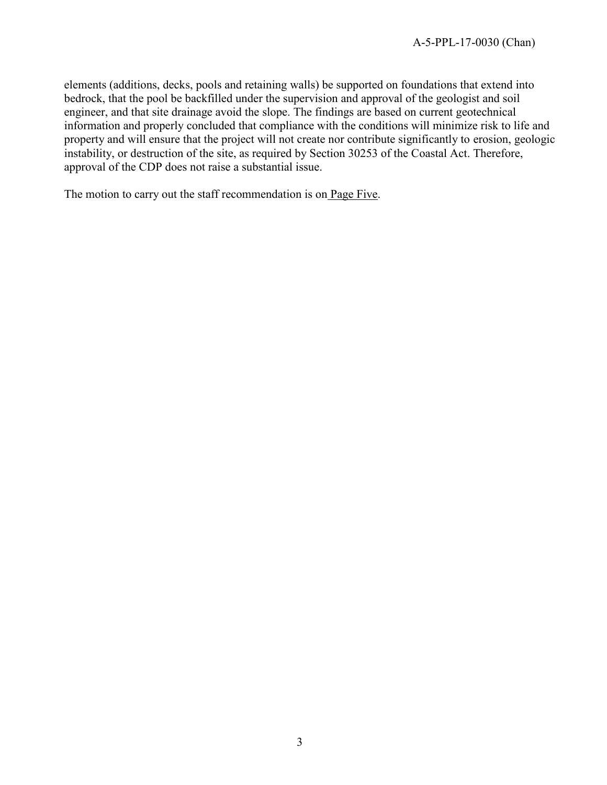elements (additions, decks, pools and retaining walls) be supported on foundations that extend into bedrock, that the pool be backfilled under the supervision and approval of the geologist and soil engineer, and that site drainage avoid the slope. The findings are based on current geotechnical information and properly concluded that compliance with the conditions will minimize risk to life and property and will ensure that the project will not create nor contribute significantly to erosion, geologic instability, or destruction of the site, as required by Section 30253 of the Coastal Act. Therefore, approval of the CDP does not raise a substantial issue.

The motion to carry out the staff recommendation is on Page Five.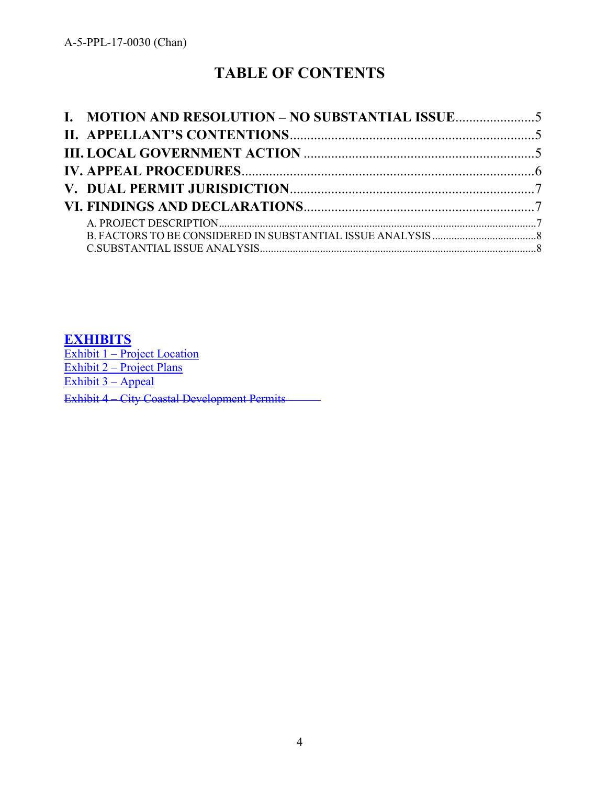# **TABLE OF CONTENTS**

| I. MOTION AND RESOLUTION - NO SUBSTANTIAL ISSUE |  |
|-------------------------------------------------|--|
|                                                 |  |
|                                                 |  |
|                                                 |  |
|                                                 |  |
|                                                 |  |
|                                                 |  |
|                                                 |  |

### **[EXHIBITS](https://documents.coastal.ca.gov/reports/2017/7/W13h/W13h-7-2017-exhibits.pdf)**

Exhibit 1 – Project Location Exhibit 2 – Project Plans [Exhibit 3 – Appeal](https://documents.coastal.ca.gov/reports/2017/7/W13h/W13h-7-2017-exhibits.pdf)  [Exhibit 4 – City Coastal Development Permits](https://documents.coastal.ca.gov/reports/2017/7/W13h/W13h-7-2017-exhibits.pdf)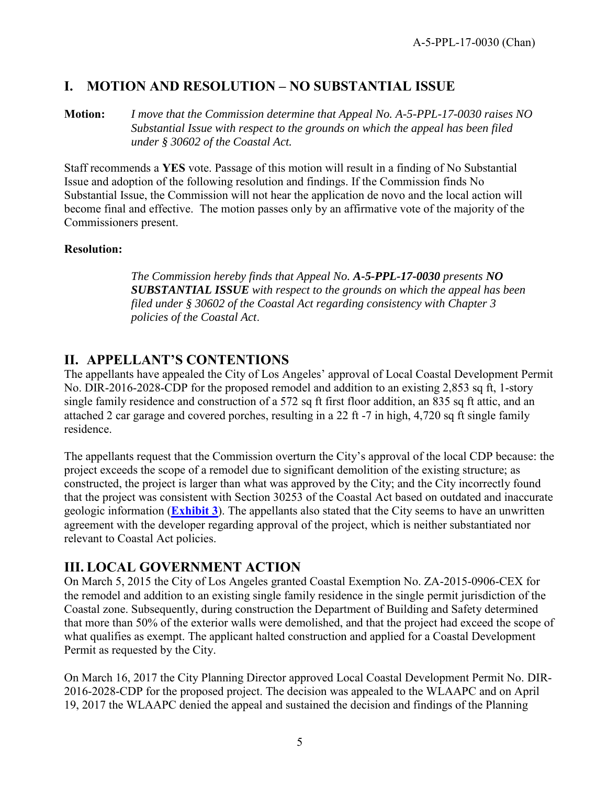# <span id="page-4-0"></span>**I. MOTION AND RESOLUTION – NO SUBSTANTIAL ISSUE**

**Motion:** *I move that the Commission determine that Appeal No. A-5-PPL-17-0030 raises NO Substantial Issue with respect to the grounds on which the appeal has been filed under § 30602 of the Coastal Act.*

Staff recommends a **YES** vote. Passage of this motion will result in a finding of No Substantial Issue and adoption of the following resolution and findings. If the Commission finds No Substantial Issue, the Commission will not hear the application de novo and the local action will become final and effective. The motion passes only by an affirmative vote of the majority of the Commissioners present.

#### **Resolution:**

*The Commission hereby finds that Appeal No. A-5-PPL-17-0030 presents NO SUBSTANTIAL ISSUE with respect to the grounds on which the appeal has been filed under § 30602 of the Coastal Act regarding consistency with Chapter 3 policies of the Coastal Act*.

### <span id="page-4-1"></span>**II. APPELLANT'S CONTENTIONS**

The appellants have appealed the City of Los Angeles' approval of Local Coastal Development Permit No. DIR-2016-2028-CDP for the proposed remodel and addition to an existing 2,853 sq ft, 1-story single family residence and construction of a 572 sq ft first floor addition, an 835 sq ft attic, and an attached 2 car garage and covered porches, resulting in a 22 ft -7 in high, 4,720 sq ft single family residence.

The appellants request that the Commission overturn the City's approval of the local CDP because: the project exceeds the scope of a remodel due to significant demolition of the existing structure; as constructed, the project is larger than what was approved by the City; and the City incorrectly found that the project was consistent with Section 30253 of the Coastal Act based on outdated and inaccurate geologic information (**[Exhibit 3](https://documents.coastal.ca.gov/reports/2017/7/W13h/W13h-7-2017-exhibits.pdf)**). The appellants also stated that the City seems to have an unwritten agreement with the developer regarding approval of the project, which is neither substantiated nor relevant to Coastal Act policies.

### <span id="page-4-2"></span>**III. LOCAL GOVERNMENT ACTION**

On March 5, 2015 the City of Los Angeles granted Coastal Exemption No. ZA-2015-0906-CEX for the remodel and addition to an existing single family residence in the single permit jurisdiction of the Coastal zone. Subsequently, during construction the Department of Building and Safety determined that more than 50% of the exterior walls were demolished, and that the project had exceed the scope of what qualifies as exempt. The applicant halted construction and applied for a Coastal Development Permit as requested by the City.

On March 16, 2017 the City Planning Director approved Local Coastal Development Permit No. DIR-2016-2028-CDP for the proposed project. The decision was appealed to the WLAAPC and on April 19, 2017 the WLAAPC denied the appeal and sustained the decision and findings of the Planning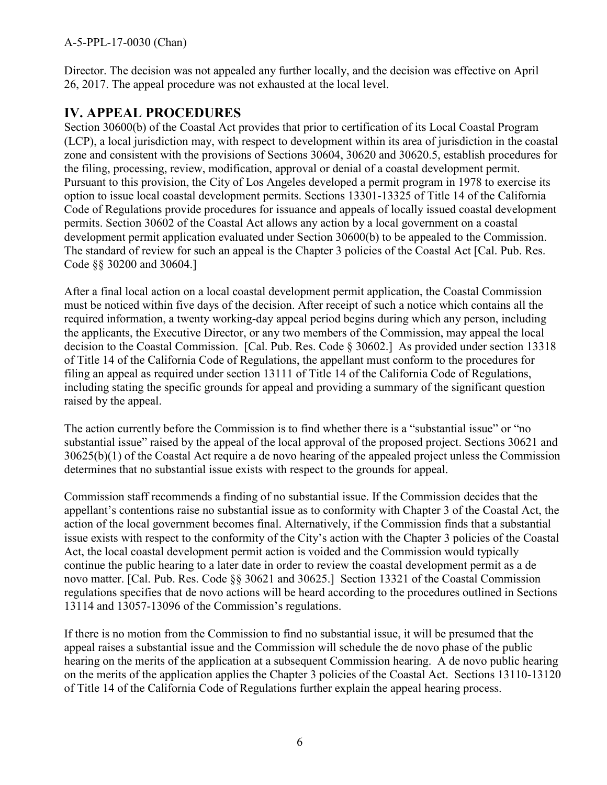#### A-5-PPL-17-0030 (Chan)

Director. The decision was not appealed any further locally, and the decision was effective on April 26, 2017. The appeal procedure was not exhausted at the local level.

# <span id="page-5-0"></span>**IV. APPEAL PROCEDURES**

Section 30600(b) of the Coastal Act provides that prior to certification of its Local Coastal Program (LCP), a local jurisdiction may, with respect to development within its area of jurisdiction in the coastal zone and consistent with the provisions of Sections 30604, 30620 and 30620.5, establish procedures for the filing, processing, review, modification, approval or denial of a coastal development permit. Pursuant to this provision, the City of Los Angeles developed a permit program in 1978 to exercise its option to issue local coastal development permits. Sections 13301-13325 of Title 14 of the California Code of Regulations provide procedures for issuance and appeals of locally issued coastal development permits. Section 30602 of the Coastal Act allows any action by a local government on a coastal development permit application evaluated under Section 30600(b) to be appealed to the Commission. The standard of review for such an appeal is the Chapter 3 policies of the Coastal Act [Cal. Pub. Res. Code §§ 30200 and 30604.]

After a final local action on a local coastal development permit application, the Coastal Commission must be noticed within five days of the decision. After receipt of such a notice which contains all the required information, a twenty working-day appeal period begins during which any person, including the applicants, the Executive Director, or any two members of the Commission, may appeal the local decision to the Coastal Commission. [Cal. Pub. Res. Code § 30602.] As provided under section 13318 of Title 14 of the California Code of Regulations, the appellant must conform to the procedures for filing an appeal as required under section 13111 of Title 14 of the California Code of Regulations, including stating the specific grounds for appeal and providing a summary of the significant question raised by the appeal.

The action currently before the Commission is to find whether there is a "substantial issue" or "no substantial issue" raised by the appeal of the local approval of the proposed project. Sections 30621 and 30625(b)(1) of the Coastal Act require a de novo hearing of the appealed project unless the Commission determines that no substantial issue exists with respect to the grounds for appeal.

Commission staff recommends a finding of no substantial issue. If the Commission decides that the appellant's contentions raise no substantial issue as to conformity with Chapter 3 of the Coastal Act, the action of the local government becomes final. Alternatively, if the Commission finds that a substantial issue exists with respect to the conformity of the City's action with the Chapter 3 policies of the Coastal Act, the local coastal development permit action is voided and the Commission would typically continue the public hearing to a later date in order to review the coastal development permit as a de novo matter. [Cal. Pub. Res. Code §§ 30621 and 30625.] Section 13321 of the Coastal Commission regulations specifies that de novo actions will be heard according to the procedures outlined in Sections 13114 and 13057-13096 of the Commission's regulations.

If there is no motion from the Commission to find no substantial issue, it will be presumed that the appeal raises a substantial issue and the Commission will schedule the de novo phase of the public hearing on the merits of the application at a subsequent Commission hearing. A de novo public hearing on the merits of the application applies the Chapter 3 policies of the Coastal Act. Sections 13110-13120 of Title 14 of the California Code of Regulations further explain the appeal hearing process.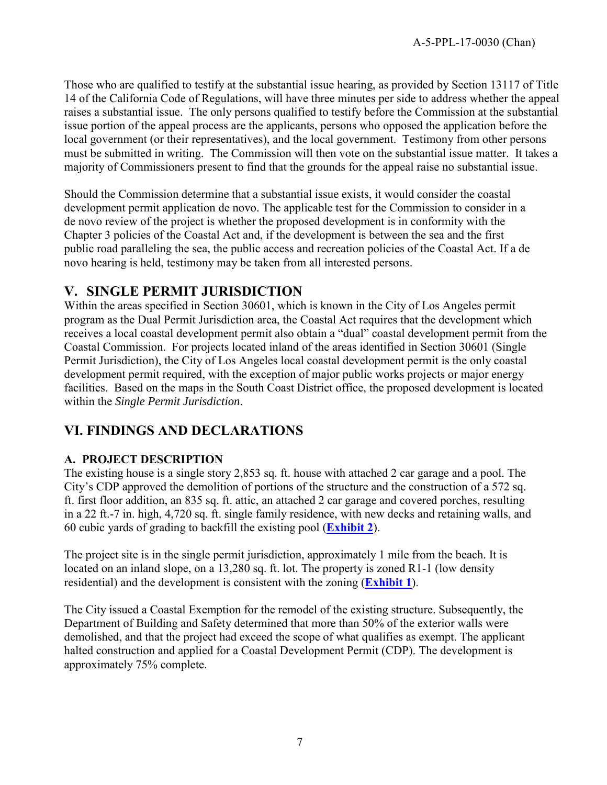Those who are qualified to testify at the substantial issue hearing, as provided by Section 13117 of Title 14 of the California Code of Regulations, will have three minutes per side to address whether the appeal raises a substantial issue. The only persons qualified to testify before the Commission at the substantial issue portion of the appeal process are the applicants, persons who opposed the application before the local government (or their representatives), and the local government. Testimony from other persons must be submitted in writing. The Commission will then vote on the substantial issue matter. It takes a majority of Commissioners present to find that the grounds for the appeal raise no substantial issue.

Should the Commission determine that a substantial issue exists, it would consider the coastal development permit application de novo. The applicable test for the Commission to consider in a de novo review of the project is whether the proposed development is in conformity with the Chapter 3 policies of the Coastal Act and, if the development is between the sea and the first public road paralleling the sea, the public access and recreation policies of the Coastal Act. If a de novo hearing is held, testimony may be taken from all interested persons.

# <span id="page-6-0"></span>**V. SINGLE PERMIT JURISDICTION**

Within the areas specified in Section 30601, which is known in the City of Los Angeles permit program as the Dual Permit Jurisdiction area, the Coastal Act requires that the development which receives a local coastal development permit also obtain a "dual" coastal development permit from the Coastal Commission. For projects located inland of the areas identified in Section 30601 (Single Permit Jurisdiction), the City of Los Angeles local coastal development permit is the only coastal development permit required, with the exception of major public works projects or major energy facilities. Based on the maps in the South Coast District office, the proposed development is located within the *Single Permit Jurisdiction*.

# <span id="page-6-1"></span>**VI. FINDINGS AND DECLARATIONS**

### <span id="page-6-2"></span>**A. PROJECT DESCRIPTION**

The existing house is a single story 2,853 sq. ft. house with attached 2 car garage and a pool. The City's CDP approved the demolition of portions of the structure and the construction of a 572 sq. ft. first floor addition, an 835 sq. ft. attic, an attached 2 car garage and covered porches, resulting in a 22 ft.-7 in. high, 4,720 sq. ft. single family residence, with new decks and retaining walls, and 60 cubic yards of grading to backfill the existing pool (**[Exhibit 2](https://documents.coastal.ca.gov/reports/2017/7/W13h/W13h-7-2017-exhibits.pdf)**).

The project site is in the single permit jurisdiction, approximately 1 mile from the beach. It is located on an inland slope, on a 13,280 sq. ft. lot. The property is zoned R1-1 (low density residential) and the development is consistent with the zoning (**[Exhibit 1](https://documents.coastal.ca.gov/reports/2017/7/W13h/W13h-7-2017-exhibits.pdf)**).

The City issued a Coastal Exemption for the remodel of the existing structure. Subsequently, the Department of Building and Safety determined that more than 50% of the exterior walls were demolished, and that the project had exceed the scope of what qualifies as exempt. The applicant halted construction and applied for a Coastal Development Permit (CDP). The development is approximately 75% complete.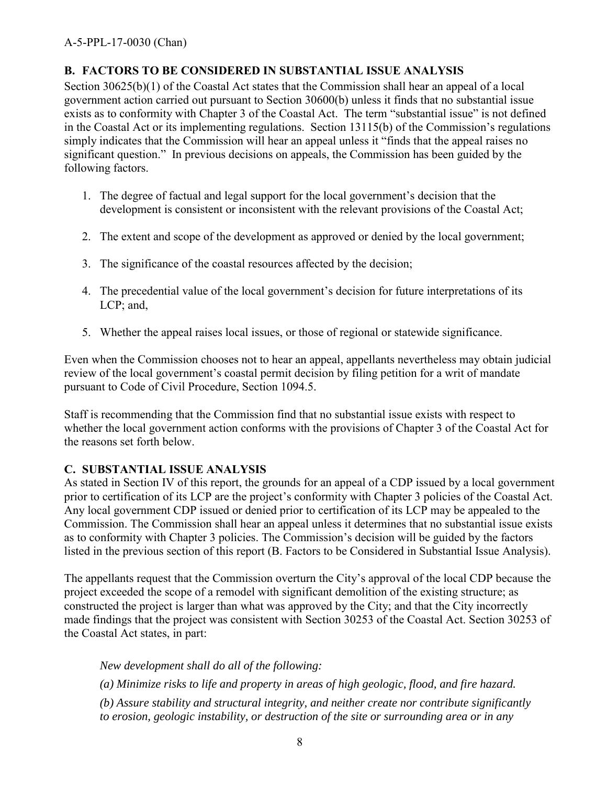#### <span id="page-7-0"></span>**B. FACTORS TO BE CONSIDERED IN SUBSTANTIAL ISSUE ANALYSIS**

Section 30625(b)(1) of the Coastal Act states that the Commission shall hear an appeal of a local government action carried out pursuant to Section 30600(b) unless it finds that no substantial issue exists as to conformity with Chapter 3 of the Coastal Act. The term "substantial issue" is not defined in the Coastal Act or its implementing regulations. Section 13115(b) of the Commission's regulations simply indicates that the Commission will hear an appeal unless it "finds that the appeal raises no significant question." In previous decisions on appeals, the Commission has been guided by the following factors.

- 1. The degree of factual and legal support for the local government's decision that the development is consistent or inconsistent with the relevant provisions of the Coastal Act;
- 2. The extent and scope of the development as approved or denied by the local government;
- 3. The significance of the coastal resources affected by the decision;
- 4. The precedential value of the local government's decision for future interpretations of its LCP; and,
- 5. Whether the appeal raises local issues, or those of regional or statewide significance.

Even when the Commission chooses not to hear an appeal, appellants nevertheless may obtain judicial review of the local government's coastal permit decision by filing petition for a writ of mandate pursuant to Code of Civil Procedure, Section 1094.5.

Staff is recommending that the Commission find that no substantial issue exists with respect to whether the local government action conforms with the provisions of Chapter 3 of the Coastal Act for the reasons set forth below.

#### <span id="page-7-1"></span>**C. SUBSTANTIAL ISSUE ANALYSIS**

As stated in Section IV of this report, the grounds for an appeal of a CDP issued by a local government prior to certification of its LCP are the project's conformity with Chapter 3 policies of the Coastal Act. Any local government CDP issued or denied prior to certification of its LCP may be appealed to the Commission. The Commission shall hear an appeal unless it determines that no substantial issue exists as to conformity with Chapter 3 policies. The Commission's decision will be guided by the factors listed in the previous section of this report (B. Factors to be Considered in Substantial Issue Analysis).

The appellants request that the Commission overturn the City's approval of the local CDP because the project exceeded the scope of a remodel with significant demolition of the existing structure; as constructed the project is larger than what was approved by the City; and that the City incorrectly made findings that the project was consistent with Section 30253 of the Coastal Act. Section 30253 of the Coastal Act states, in part:

*New development shall do all of the following:* 

*(a) Minimize risks to life and property in areas of high geologic, flood, and fire hazard.* 

*(b) Assure stability and structural integrity, and neither create nor contribute significantly to erosion, geologic instability, or destruction of the site or surrounding area or in any*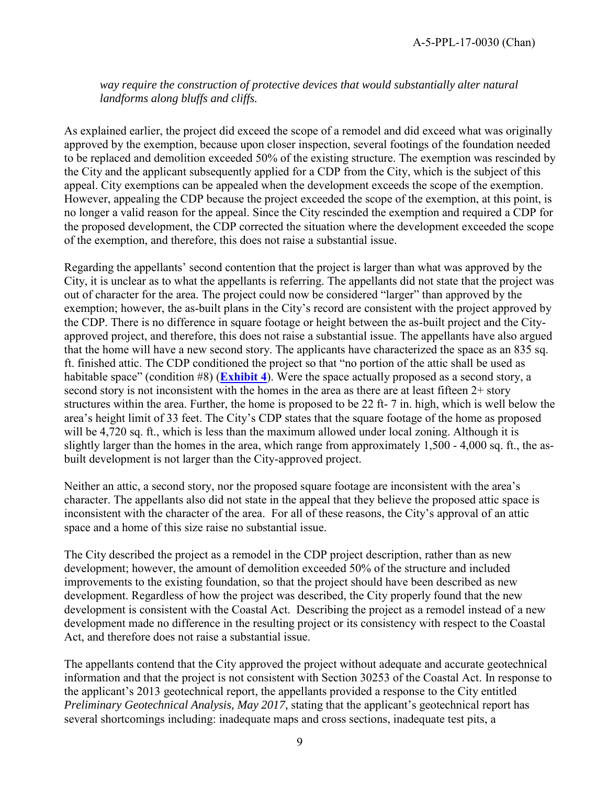*way require the construction of protective devices that would substantially alter natural landforms along bluffs and cliffs.* 

As explained earlier, the project did exceed the scope of a remodel and did exceed what was originally approved by the exemption, because upon closer inspection, several footings of the foundation needed to be replaced and demolition exceeded 50% of the existing structure. The exemption was rescinded by the City and the applicant subsequently applied for a CDP from the City, which is the subject of this appeal. City exemptions can be appealed when the development exceeds the scope of the exemption. However, appealing the CDP because the project exceeded the scope of the exemption, at this point, is no longer a valid reason for the appeal. Since the City rescinded the exemption and required a CDP for the proposed development, the CDP corrected the situation where the development exceeded the scope of the exemption, and therefore, this does not raise a substantial issue.

Regarding the appellants' second contention that the project is larger than what was approved by the City, it is unclear as to what the appellants is referring. The appellants did not state that the project was out of character for the area. The project could now be considered "larger" than approved by the exemption; however, the as-built plans in the City's record are consistent with the project approved by the CDP. There is no difference in square footage or height between the as-built project and the Cityapproved project, and therefore, this does not raise a substantial issue. The appellants have also argued that the home will have a new second story. The applicants have characterized the space as an 835 sq. ft. finished attic. The CDP conditioned the project so that "no portion of the attic shall be used as habitable space" (condition #8) (**[Exhibit 4](https://documents.coastal.ca.gov/reports/2017/7/W13h/W13h-7-2017-exhibits.pdf)**). Were the space actually proposed as a second story, a second story is not inconsistent with the homes in the area as there are at least fifteen 2+ story structures within the area. Further, the home is proposed to be 22 ft- 7 in. high, which is well below the area's height limit of 33 feet. The City's CDP states that the square footage of the home as proposed will be 4.720 sq. ft., which is less than the maximum allowed under local zoning. Although it is slightly larger than the homes in the area, which range from approximately 1,500 - 4,000 sq. ft., the asbuilt development is not larger than the City-approved project.

Neither an attic, a second story, nor the proposed square footage are inconsistent with the area's character. The appellants also did not state in the appeal that they believe the proposed attic space is inconsistent with the character of the area. For all of these reasons, the City's approval of an attic space and a home of this size raise no substantial issue.

The City described the project as a remodel in the CDP project description, rather than as new development; however, the amount of demolition exceeded 50% of the structure and included improvements to the existing foundation, so that the project should have been described as new development. Regardless of how the project was described, the City properly found that the new development is consistent with the Coastal Act. Describing the project as a remodel instead of a new development made no difference in the resulting project or its consistency with respect to the Coastal Act, and therefore does not raise a substantial issue.

The appellants contend that the City approved the project without adequate and accurate geotechnical information and that the project is not consistent with Section 30253 of the Coastal Act. In response to the applicant's 2013 geotechnical report, the appellants provided a response to the City entitled *Preliminary Geotechnical Analysis, May 2017,* stating that the applicant's geotechnical report has several shortcomings including: inadequate maps and cross sections, inadequate test pits, a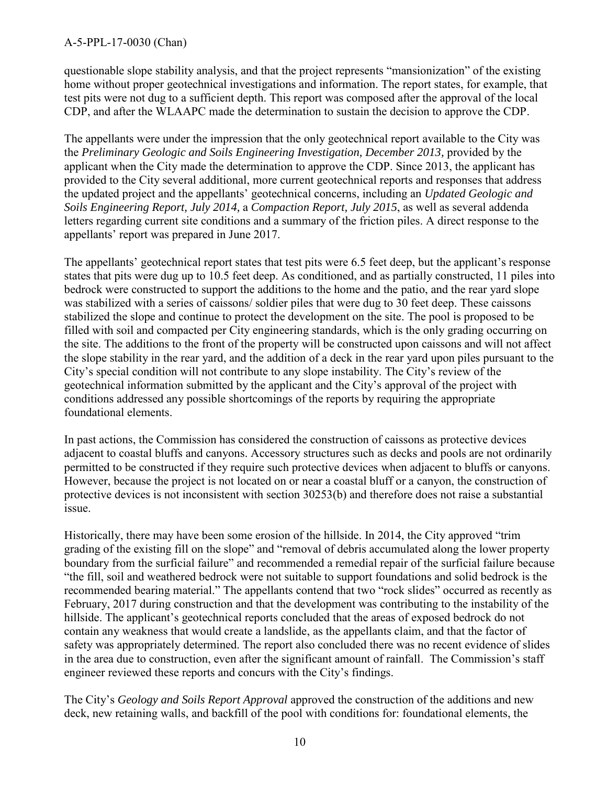#### A-5-PPL-17-0030 (Chan)

questionable slope stability analysis, and that the project represents "mansionization" of the existing home without proper geotechnical investigations and information. The report states, for example, that test pits were not dug to a sufficient depth. This report was composed after the approval of the local CDP, and after the WLAAPC made the determination to sustain the decision to approve the CDP.

The appellants were under the impression that the only geotechnical report available to the City was the *Preliminary Geologic and Soils Engineering Investigation, December 2013,* provided by the applicant when the City made the determination to approve the CDP. Since 2013, the applicant has provided to the City several additional, more current geotechnical reports and responses that address the updated project and the appellants' geotechnical concerns, including an *Updated Geologic and Soils Engineering Report, July 2014,* a *Compaction Report, July 2015*, as well as several addenda letters regarding current site conditions and a summary of the friction piles. A direct response to the appellants' report was prepared in June 2017.

The appellants' geotechnical report states that test pits were 6.5 feet deep, but the applicant's response states that pits were dug up to 10.5 feet deep. As conditioned, and as partially constructed, 11 piles into bedrock were constructed to support the additions to the home and the patio, and the rear yard slope was stabilized with a series of caissons/ soldier piles that were dug to 30 feet deep. These caissons stabilized the slope and continue to protect the development on the site. The pool is proposed to be filled with soil and compacted per City engineering standards, which is the only grading occurring on the site. The additions to the front of the property will be constructed upon caissons and will not affect the slope stability in the rear yard, and the addition of a deck in the rear yard upon piles pursuant to the City's special condition will not contribute to any slope instability. The City's review of the geotechnical information submitted by the applicant and the City's approval of the project with conditions addressed any possible shortcomings of the reports by requiring the appropriate foundational elements.

In past actions, the Commission has considered the construction of caissons as protective devices adjacent to coastal bluffs and canyons. Accessory structures such as decks and pools are not ordinarily permitted to be constructed if they require such protective devices when adjacent to bluffs or canyons. However, because the project is not located on or near a coastal bluff or a canyon, the construction of protective devices is not inconsistent with section 30253(b) and therefore does not raise a substantial issue.

Historically, there may have been some erosion of the hillside. In 2014, the City approved "trim grading of the existing fill on the slope" and "removal of debris accumulated along the lower property boundary from the surficial failure" and recommended a remedial repair of the surficial failure because "the fill, soil and weathered bedrock were not suitable to support foundations and solid bedrock is the recommended bearing material." The appellants contend that two "rock slides" occurred as recently as February, 2017 during construction and that the development was contributing to the instability of the hillside. The applicant's geotechnical reports concluded that the areas of exposed bedrock do not contain any weakness that would create a landslide, as the appellants claim, and that the factor of safety was appropriately determined. The report also concluded there was no recent evidence of slides in the area due to construction, even after the significant amount of rainfall. The Commission's staff engineer reviewed these reports and concurs with the City's findings.

The City's *Geology and Soils Report Approval* approved the construction of the additions and new deck, new retaining walls, and backfill of the pool with conditions for: foundational elements, the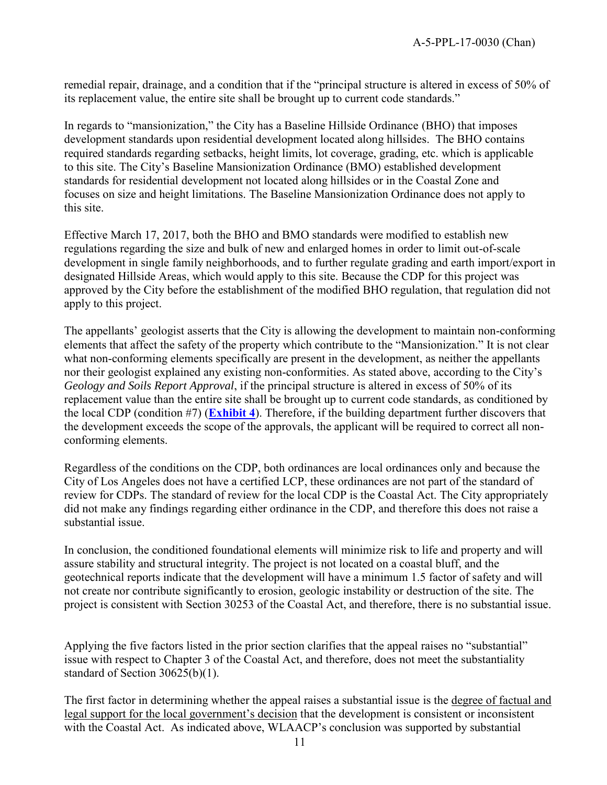remedial repair, drainage, and a condition that if the "principal structure is altered in excess of 50% of its replacement value, the entire site shall be brought up to current code standards."

In regards to "mansionization," the City has a Baseline Hillside Ordinance (BHO) that imposes development standards upon residential development located along hillsides. The BHO contains required standards regarding setbacks, height limits, lot coverage, grading, etc. which is applicable to this site. The City's Baseline Mansionization Ordinance (BMO) established development standards for residential development not located along hillsides or in the Coastal Zone and focuses on size and height limitations. The Baseline Mansionization Ordinance does not apply to this site.

Effective March 17, 2017, both the BHO and BMO standards were modified to establish new regulations regarding the size and bulk of new and enlarged homes in order to limit out-of-scale development in single family neighborhoods, and to further regulate grading and earth import/export in designated Hillside Areas, which would apply to this site. Because the CDP for this project was approved by the City before the establishment of the modified BHO regulation, that regulation did not apply to this project.

The appellants' geologist asserts that the City is allowing the development to maintain non-conforming elements that affect the safety of the property which contribute to the "Mansionization." It is not clear what non-conforming elements specifically are present in the development, as neither the appellants nor their geologist explained any existing non-conformities. As stated above, according to the City's *Geology and Soils Report Approval*, if the principal structure is altered in excess of 50% of its replacement value than the entire site shall be brought up to current code standards, as conditioned by the local CDP (condition #7) (**[Exhibit 4](https://documents.coastal.ca.gov/reports/2017/7/W13h/W13h-7-2017-exhibits.pdf)**). Therefore, if the building department further discovers that the development exceeds the scope of the approvals, the applicant will be required to correct all nonconforming elements.

Regardless of the conditions on the CDP, both ordinances are local ordinances only and because the City of Los Angeles does not have a certified LCP, these ordinances are not part of the standard of review for CDPs. The standard of review for the local CDP is the Coastal Act. The City appropriately did not make any findings regarding either ordinance in the CDP, and therefore this does not raise a substantial issue.

In conclusion, the conditioned foundational elements will minimize risk to life and property and will assure stability and structural integrity. The project is not located on a coastal bluff, and the geotechnical reports indicate that the development will have a minimum 1.5 factor of safety and will not create nor contribute significantly to erosion, geologic instability or destruction of the site. The project is consistent with Section 30253 of the Coastal Act, and therefore, there is no substantial issue.

Applying the five factors listed in the prior section clarifies that the appeal raises no "substantial" issue with respect to Chapter 3 of the Coastal Act, and therefore, does not meet the substantiality standard of Section 30625(b)(1).

The first factor in determining whether the appeal raises a substantial issue is the degree of factual and legal support for the local government's decision that the development is consistent or inconsistent with the Coastal Act. As indicated above, WLAACP's conclusion was supported by substantial